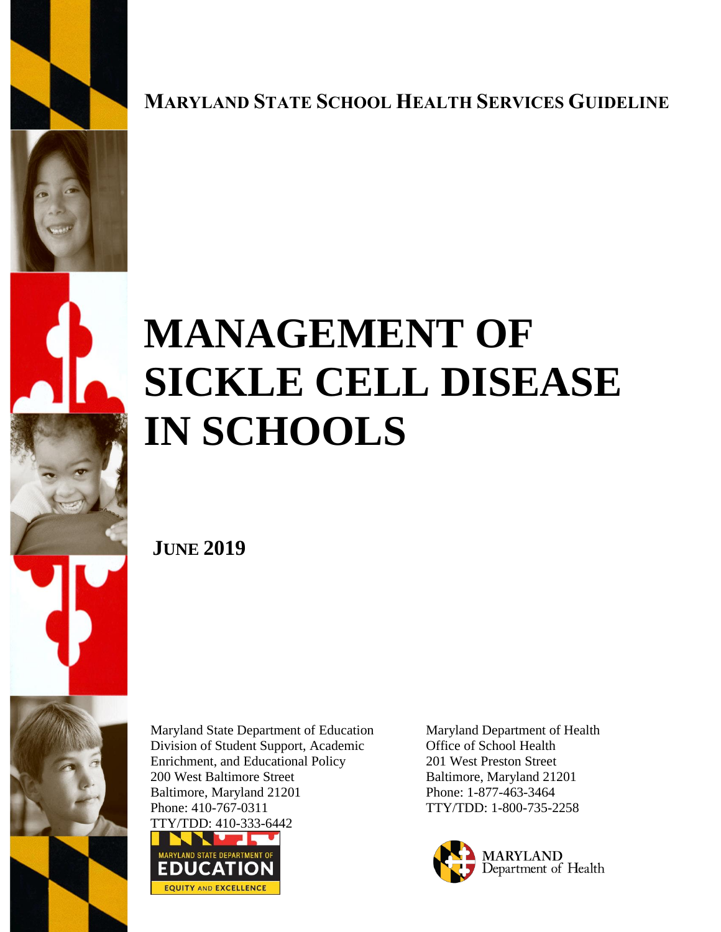

**MARYLAND STATE SCHOOL HEALTH SERVICES GUIDELINE**





# **MANAGEMENT OF SICKLE CELL DISEASE IN SCHOOLS**

 **JUNE 2019**

Maryland State Department of Education Division of Student Support, Academic Enrichment, and Educational Policy 200 West Baltimore Street Baltimore, Maryland 21201 Phone: 410-767-0311



Maryland Department of Health Office of School Health 201 West Preston Street Baltimore, Maryland 21201 Phone: 1-877-463-3464 TTY/TDD: 1-800-735-2258

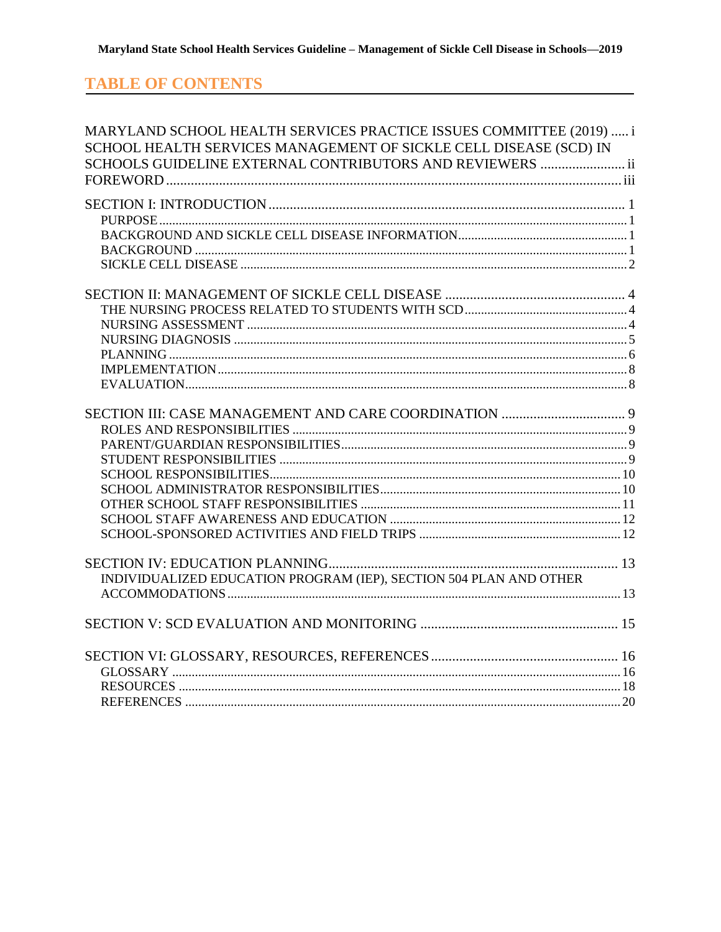## **TABLE OF CONTENTS**

| MARYLAND SCHOOL HEALTH SERVICES PRACTICE ISSUES COMMITTEE (2019)  i |  |
|---------------------------------------------------------------------|--|
| SCHOOL HEALTH SERVICES MANAGEMENT OF SICKLE CELL DISEASE (SCD) IN   |  |
| SCHOOLS GUIDELINE EXTERNAL CONTRIBUTORS AND REVIEWERS  ii           |  |
|                                                                     |  |
|                                                                     |  |
|                                                                     |  |
|                                                                     |  |
|                                                                     |  |
|                                                                     |  |
|                                                                     |  |
|                                                                     |  |
|                                                                     |  |
|                                                                     |  |
|                                                                     |  |
|                                                                     |  |
|                                                                     |  |
|                                                                     |  |
|                                                                     |  |
|                                                                     |  |
|                                                                     |  |
|                                                                     |  |
|                                                                     |  |
|                                                                     |  |
|                                                                     |  |
|                                                                     |  |
|                                                                     |  |
|                                                                     |  |
| INDIVIDUALIZED EDUCATION PROGRAM (IEP), SECTION 504 PLAN AND OTHER  |  |
|                                                                     |  |
|                                                                     |  |
|                                                                     |  |
|                                                                     |  |
|                                                                     |  |
|                                                                     |  |
|                                                                     |  |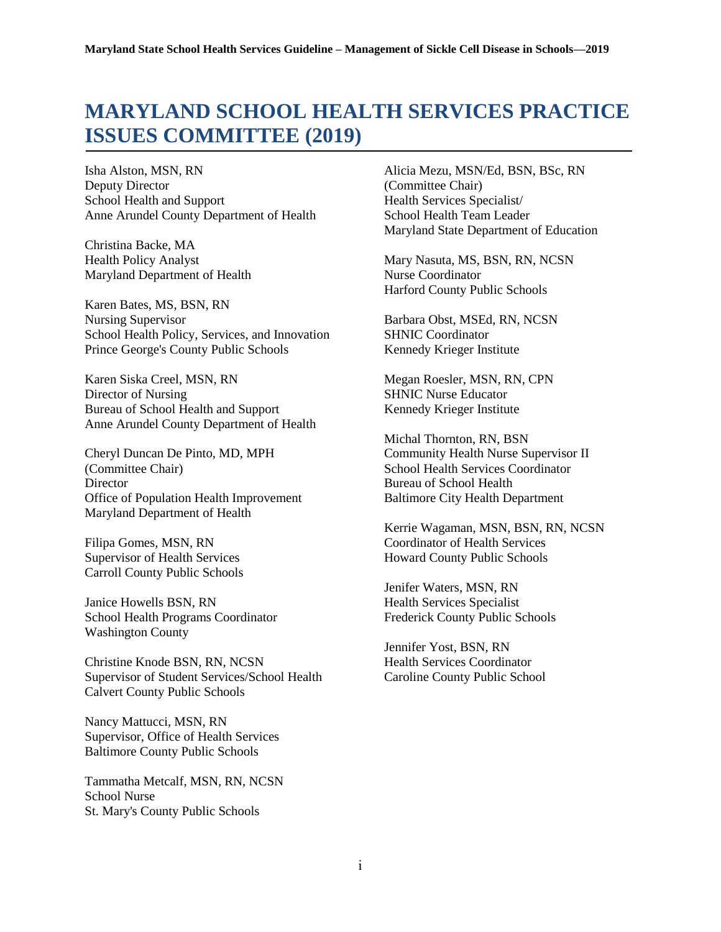# <span id="page-2-0"></span>**MARYLAND SCHOOL HEALTH SERVICES PRACTICE ISSUES COMMITTEE (2019)**

Isha Alston, MSN, RN Deputy Director School Health and Support Anne Arundel County Department of Health

Christina Backe, MA Health Policy Analyst Maryland Department of Health

Karen Bates, MS, BSN, RN Nursing Supervisor School Health Policy, Services, and Innovation Prince George's County Public Schools

Karen Siska Creel, MSN, RN Director of Nursing Bureau of School Health and Support Anne Arundel County Department of Health

Cheryl Duncan De Pinto, MD, MPH (Committee Chair) **Director** Office of Population Health Improvement Maryland Department of Health

Filipa Gomes, MSN, RN Supervisor of Health Services Carroll County Public Schools

Janice Howells BSN, RN School Health Programs Coordinator Washington County

Christine Knode BSN, RN, NCSN Supervisor of Student Services/School Health Calvert County Public Schools

Nancy Mattucci, MSN, RN Supervisor, Office of Health Services Baltimore County Public Schools

Tammatha Metcalf, MSN, RN, NCSN School Nurse St. Mary's County Public Schools

Alicia Mezu, MSN/Ed, BSN, BSc, RN (Committee Chair) Health Services Specialist/ School Health Team Leader Maryland State Department of Education

Mary Nasuta, MS, BSN, RN, NCSN Nurse Coordinator Harford County Public Schools

Barbara Obst, MSEd, RN, NCSN SHNIC Coordinator Kennedy Krieger Institute

Megan Roesler, MSN, RN, CPN SHNIC Nurse Educator Kennedy Krieger Institute

Michal Thornton, RN, BSN Community Health Nurse Supervisor II School Health Services Coordinator Bureau of School Health Baltimore City Health Department

Kerrie Wagaman, MSN, BSN, RN, NCSN Coordinator of Health Services Howard County Public Schools

Jenifer Waters, MSN, RN Health Services Specialist Frederick County Public Schools

Jennifer Yost, BSN, RN Health Services Coordinator Caroline County Public School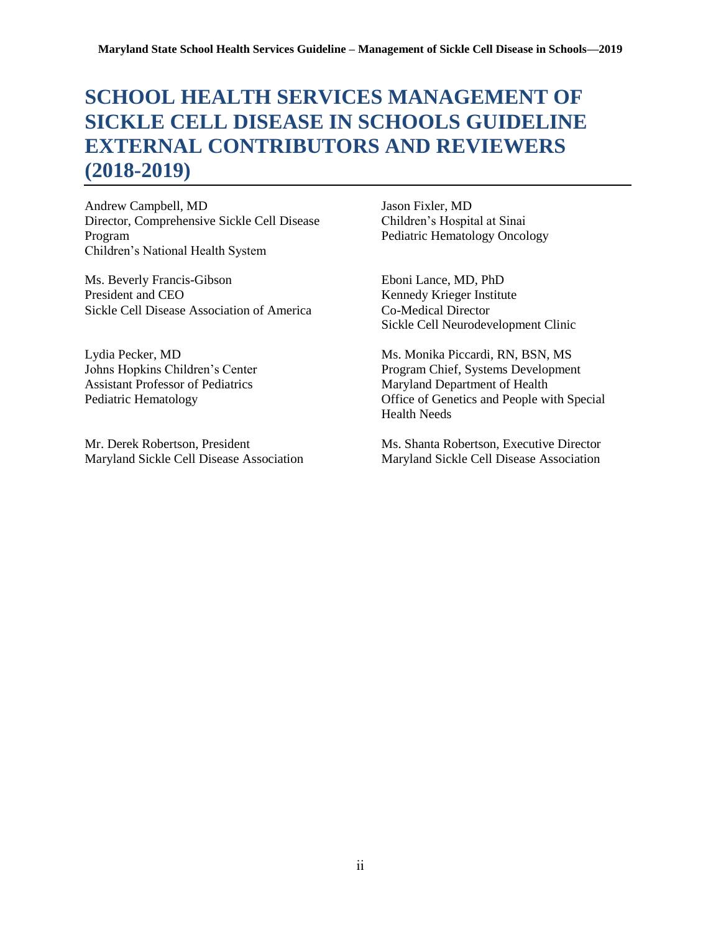# <span id="page-3-0"></span>**SCHOOL HEALTH SERVICES MANAGEMENT OF SICKLE CELL DISEASE IN SCHOOLS GUIDELINE EXTERNAL CONTRIBUTORS AND REVIEWERS (2018-2019)**

Andrew Campbell, MD Jason Fixler, MD Director, Comprehensive Sickle Cell Disease Children's Hospital at Sinai Program Pediatric Hematology Oncology Children's National Health System

Ms. Beverly Francis-Gibson Eboni Lance, MD, PhD President and CEO Kennedy Krieger Institute Sickle Cell Disease Association of America Co-Medical Director

Assistant Professor of Pediatrics Maryland Department of Health

Sickle Cell Neurodevelopment Clinic

Lydia Pecker, MD Ms. Monika Piccardi, RN, BSN, MS Johns Hopkins Children's Center Program Chief, Systems Development Pediatric Hematology **Office of Genetics and People with Special** Health Needs

Mr. Derek Robertson, President Ms. Shanta Robertson, Executive Director Maryland Sickle Cell Disease Association Maryland Sickle Cell Disease Association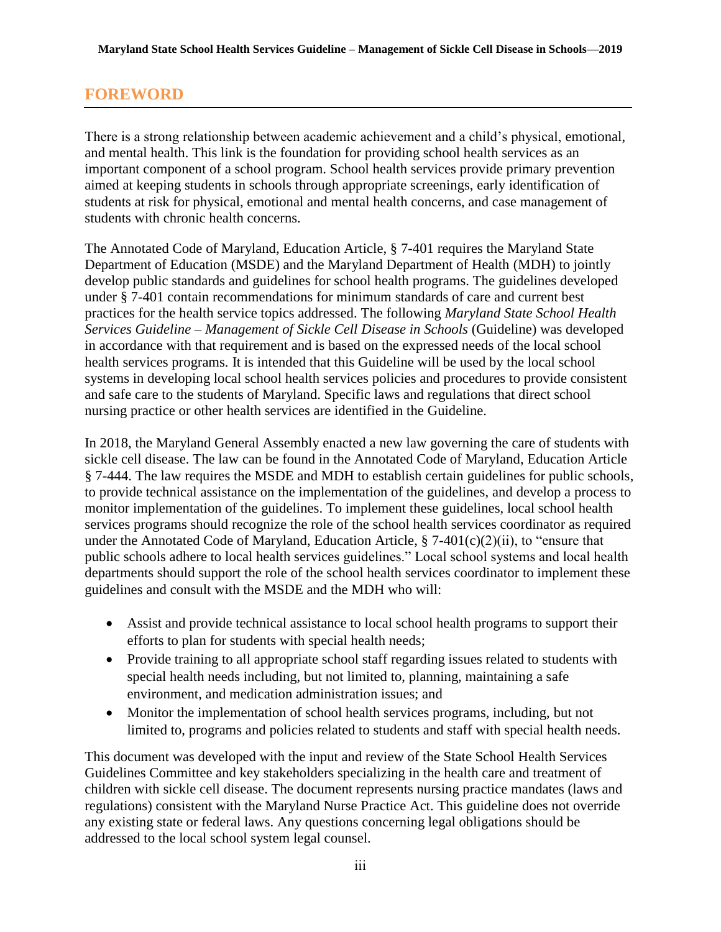## <span id="page-4-0"></span>**FOREWORD**

There is a strong relationship between academic achievement and a child's physical, emotional, and mental health. This link is the foundation for providing school health services as an important component of a school program. School health services provide primary prevention aimed at keeping students in schools through appropriate screenings, early identification of students at risk for physical, emotional and mental health concerns, and case management of students with chronic health concerns.

The Annotated Code of Maryland, Education Article, § 7-401 requires the Maryland State Department of Education (MSDE) and the Maryland Department of Health (MDH) to jointly develop public standards and guidelines for school health programs. The guidelines developed under § 7-401 contain recommendations for minimum standards of care and current best practices for the health service topics addressed. The following *Maryland State School Health Services Guideline – Management of Sickle Cell Disease in Schools* (Guideline) was developed in accordance with that requirement and is based on the expressed needs of the local school health services programs. It is intended that this Guideline will be used by the local school systems in developing local school health services policies and procedures to provide consistent and safe care to the students of Maryland. Specific laws and regulations that direct school nursing practice or other health services are identified in the Guideline.

In 2018, the Maryland General Assembly enacted a new law governing the care of students with sickle cell disease. The law can be found in the Annotated Code of Maryland, Education Article § 7-444. The law requires the MSDE and MDH to establish certain guidelines for public schools, to provide technical assistance on the implementation of the guidelines, and develop a process to monitor implementation of the guidelines. To implement these guidelines, local school health services programs should recognize the role of the school health services coordinator as required under the Annotated Code of Maryland, Education Article,  $\S$  7-401(c)(2)(ii), to "ensure that public schools adhere to local health services guidelines." Local school systems and local health departments should support the role of the school health services coordinator to implement these guidelines and consult with the MSDE and the MDH who will:

- Assist and provide technical assistance to local school health programs to support their efforts to plan for students with special health needs;
- Provide training to all appropriate school staff regarding issues related to students with special health needs including, but not limited to, planning, maintaining a safe environment, and medication administration issues; and
- Monitor the implementation of school health services programs, including, but not limited to, programs and policies related to students and staff with special health needs.

This document was developed with the input and review of the State School Health Services Guidelines Committee and key stakeholders specializing in the health care and treatment of children with sickle cell disease. The document represents nursing practice mandates (laws and regulations) consistent with the Maryland Nurse Practice Act. This guideline does not override any existing state or federal laws. Any questions concerning legal obligations should be addressed to the local school system legal counsel.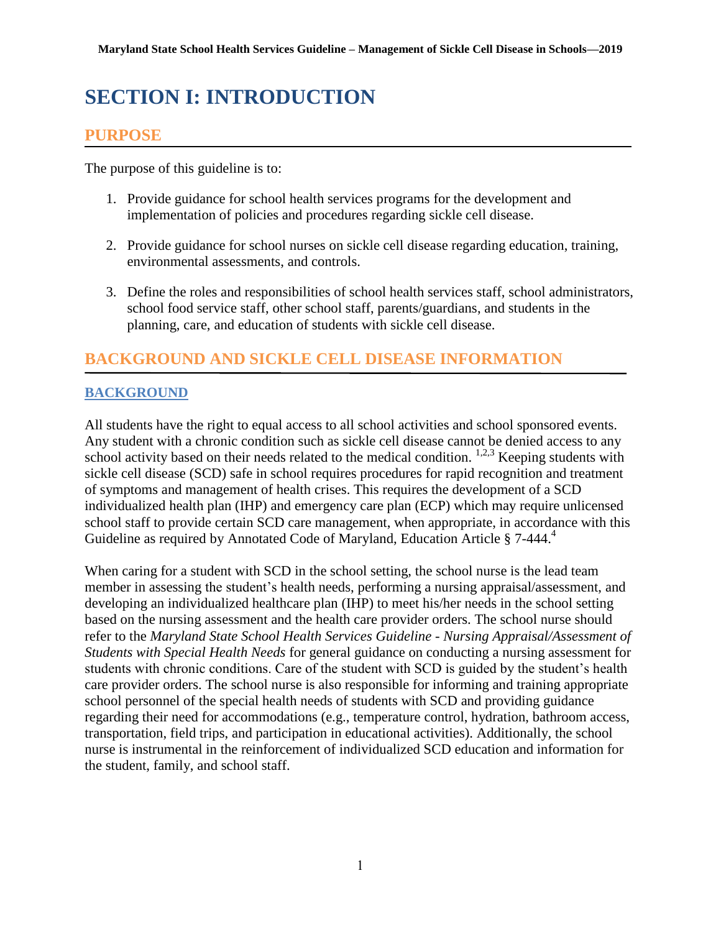# <span id="page-5-0"></span>**SECTION I: INTRODUCTION**

# <span id="page-5-1"></span>**PURPOSE**

The purpose of this guideline is to:

- 1. Provide guidance for school health services programs for the development and implementation of policies and procedures regarding sickle cell disease.
- 2. Provide guidance for school nurses on sickle cell disease regarding education, training, environmental assessments, and controls.
- 3. Define the roles and responsibilities of school health services staff, school administrators, school food service staff, other school staff, parents/guardians, and students in the planning, care, and education of students with sickle cell disease.

# <span id="page-5-2"></span>**BACKGROUND AND SICKLE CELL DISEASE INFORMATION**

## <span id="page-5-3"></span>**BACKGROUND**

All students have the right to equal access to all school activities and school sponsored events. Any student with a chronic condition such as sickle cell disease cannot be denied access to any school activity based on their needs related to the medical condition.  $1,2,3$  Keeping students with sickle cell disease (SCD) safe in school requires procedures for rapid recognition and treatment of symptoms and management of health crises. This requires the development of a SCD individualized health plan (IHP) and emergency care plan (ECP) which may require unlicensed school staff to provide certain SCD care management, when appropriate, in accordance with this Guideline as required by Annotated Code of Maryland, Education Article § 7-444.<sup>4</sup>

When caring for a student with SCD in the school setting, the school nurse is the lead team member in assessing the student's health needs, performing a nursing appraisal/assessment, and developing an individualized healthcare plan (IHP) to meet his/her needs in the school setting based on the nursing assessment and the health care provider orders. The school nurse should refer to the *Maryland State School Health Services Guideline - Nursing Appraisal/Assessment of Students with Special Health Needs* for general guidance on conducting a nursing assessment for students with chronic conditions. Care of the student with SCD is guided by the student's health care provider orders. The school nurse is also responsible for informing and training appropriate school personnel of the special health needs of students with SCD and providing guidance regarding their need for accommodations (e.g., temperature control, hydration, bathroom access, transportation, field trips, and participation in educational activities). Additionally, the school nurse is instrumental in the reinforcement of individualized SCD education and information for the student, family, and school staff.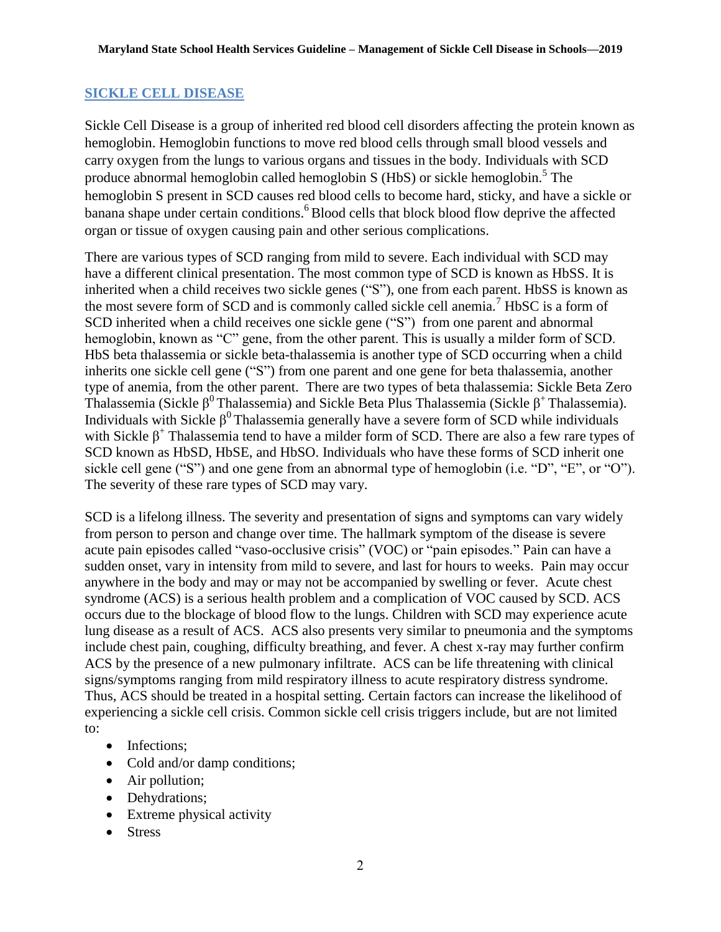#### <span id="page-6-0"></span>**SICKLE CELL DISEASE**

Sickle Cell Disease is a group of inherited red blood cell disorders affecting the protein known as hemoglobin. Hemoglobin functions to move red blood cells through small blood vessels and carry oxygen from the lungs to various organs and tissues in the body. Individuals with SCD produce abnormal hemoglobin called hemoglobin S (HbS) or sickle hemoglobin.<sup>5</sup> The hemoglobin S present in SCD causes red blood cells to become hard, sticky, and have a sickle or banana shape under certain conditions.<sup>6</sup>Blood cells that block blood flow deprive the affected organ or tissue of oxygen causing pain and other serious complications.

There are various types of SCD ranging from mild to severe. Each individual with SCD may have a different clinical presentation. The most common type of SCD is known as HbSS. It is inherited when a child receives two sickle genes ("S"), one from each parent. HbSS is known as the most severe form of SCD and is commonly called sickle cell anemia.<sup>7</sup> HbSC is a form of SCD inherited when a child receives one sickle gene ("S") from one parent and abnormal hemoglobin, known as "C" gene, from the other parent. This is usually a milder form of SCD. HbS beta thalassemia or sickle beta-thalassemia is another type of SCD occurring when a child inherits one sickle cell gene ("S") from one parent and one gene for beta thalassemia, another type of anemia, from the other parent. There are two types of beta thalassemia: Sickle Beta Zero Thalassemia (Sickle  $\beta^0$  Thalassemia) and Sickle Beta Plus Thalassemia (Sickle  $\beta^+$  Thalassemia). Individuals with Sickle  $\beta^0$  Thalassemia generally have a severe form of SCD while individuals with Sickle  $\beta^+$  Thalassemia tend to have a milder form of SCD. There are also a few rare types of SCD known as HbSD, HbSE, and HbSO. Individuals who have these forms of SCD inherit one sickle cell gene ("S") and one gene from an abnormal type of hemoglobin (i.e. "D", "E", or "O"). The severity of these rare types of SCD may vary.

SCD is a lifelong illness. The severity and presentation of signs and symptoms can vary widely from person to person and change over time. The hallmark symptom of the disease is severe acute pain episodes called "vaso-occlusive crisis" (VOC) or "pain episodes." Pain can have a sudden onset, vary in intensity from mild to severe, and last for hours to weeks. Pain may occur anywhere in the body and may or may not be accompanied by swelling or fever. Acute chest syndrome (ACS) is a serious health problem and a complication of VOC caused by SCD. ACS occurs due to the blockage of blood flow to the lungs. Children with SCD may experience acute lung disease as a result of ACS. ACS also presents very similar to pneumonia and the symptoms include chest pain, coughing, difficulty breathing, and fever. A chest x-ray may further confirm ACS by the presence of a new pulmonary infiltrate. ACS can be life threatening with clinical signs/symptoms ranging from mild respiratory illness to acute respiratory distress syndrome. Thus, ACS should be treated in a hospital setting. Certain factors can increase the likelihood of experiencing a sickle cell crisis. Common sickle cell crisis triggers include, but are not limited to:

- Infections:
- Cold and/or damp conditions;
- Air pollution;
- Dehydrations;
- Extreme physical activity
- Stress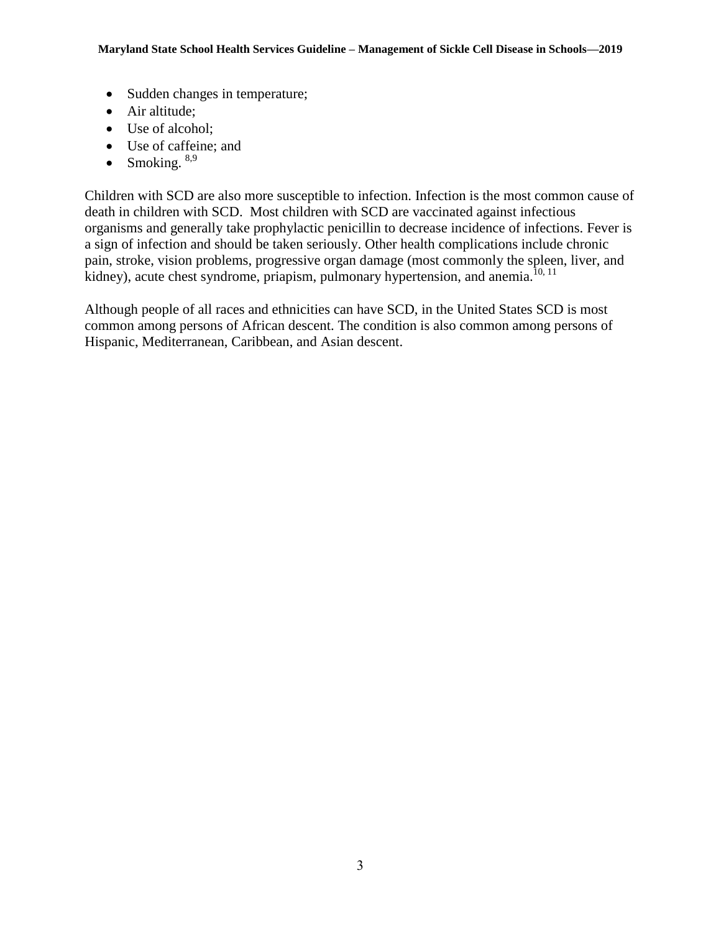- Sudden changes in temperature;
- Air altitude:
- Use of alcohol;
- Use of caffeine; and
- Smoking.  $8,9$

Children with SCD are also more susceptible to infection. Infection is the most common cause of death in children with SCD. Most children with SCD are vaccinated against infectious organisms and generally take prophylactic penicillin to decrease incidence of infections. Fever is a sign of infection and should be taken seriously. Other health complications include chronic pain, stroke, vision problems, progressive organ damage (most commonly the spleen, liver, and kidney), acute chest syndrome, priapism, pulmonary hypertension, and anemia.<sup>10, 11</sup>

Although people of all races and ethnicities can have SCD, in the United States SCD is most common among persons of African descent. The condition is also common among persons of Hispanic, Mediterranean, Caribbean, and Asian descent.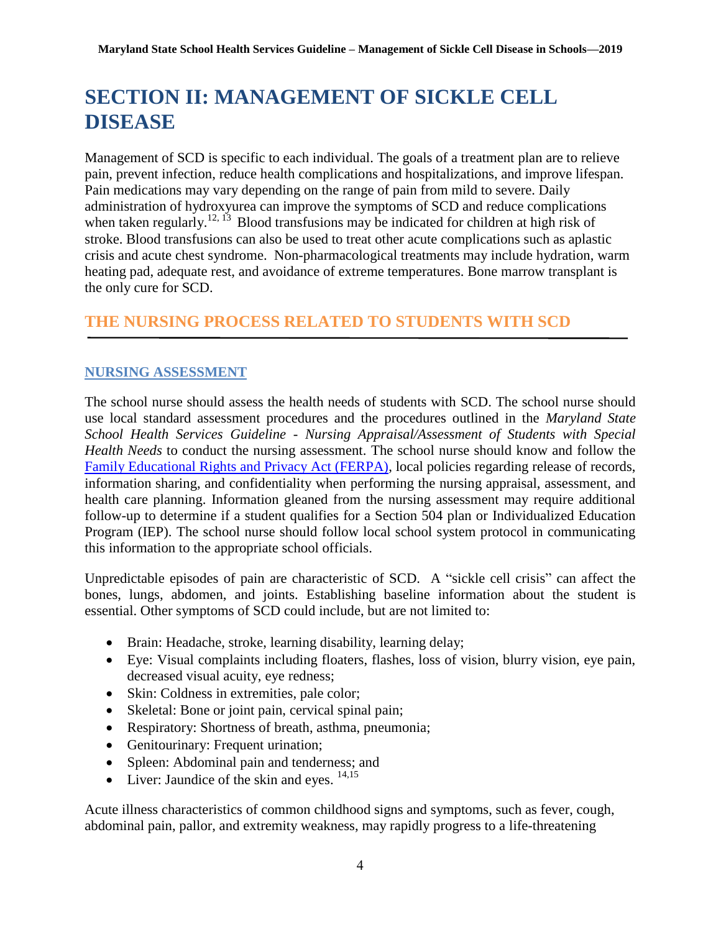# <span id="page-8-0"></span>**SECTION II: MANAGEMENT OF SICKLE CELL DISEASE**

Management of SCD is specific to each individual. The goals of a treatment plan are to relieve pain, prevent infection, reduce health complications and hospitalizations, and improve lifespan. Pain medications may vary depending on the range of pain from mild to severe. Daily administration of hydroxyurea can improve the symptoms of SCD and reduce complications when taken regularly.<sup>12, 13</sup> Blood transfusions may be indicated for children at high risk of stroke. Blood transfusions can also be used to treat other acute complications such as aplastic crisis and acute chest syndrome. Non-pharmacological treatments may include hydration, warm heating pad, adequate rest, and avoidance of extreme temperatures. Bone marrow transplant is the only cure for SCD.

# <span id="page-8-1"></span>**THE NURSING PROCESS RELATED TO STUDENTS WITH SCD**

#### <span id="page-8-2"></span>**NURSING ASSESSMENT**

The school nurse should assess the health needs of students with SCD. The school nurse should use local standard assessment procedures and the procedures outlined in the *Maryland State School Health Services Guideline - Nursing Appraisal/Assessment of Students with Special Health Needs* to conduct the nursing assessment. The school nurse should know and follow the [Family Educational Rights and Privacy Act \(FERPA\),](http://www2.ed.gov/policy/gen/guid/fpco/ferpa/index.html) local policies regarding release of records, information sharing, and confidentiality when performing the nursing appraisal, assessment, and health care planning. Information gleaned from the nursing assessment may require additional follow-up to determine if a student qualifies for a Section 504 plan or Individualized Education Program (IEP). The school nurse should follow local school system protocol in communicating this information to the appropriate school officials.

Unpredictable episodes of pain are characteristic of SCD. A "sickle cell crisis" can affect the bones, lungs, abdomen, and joints. Establishing baseline information about the student is essential. Other symptoms of SCD could include, but are not limited to:

- Brain: Headache, stroke, learning disability, learning delay;
- Eye: Visual complaints including floaters, flashes, loss of vision, blurry vision, eye pain, decreased visual acuity, eye redness;
- Skin: Coldness in extremities, pale color;
- Skeletal: Bone or joint pain, cervical spinal pain;
- Respiratory: Shortness of breath, asthma, pneumonia;
- Genitourinary: Frequent urination;
- Spleen: Abdominal pain and tenderness; and
- $\bullet$  Liver: Jaundice of the skin and eyes.  $^{14,15}$

Acute illness characteristics of common childhood signs and symptoms, such as fever, cough, abdominal pain, pallor, and extremity weakness, may rapidly progress to a life-threatening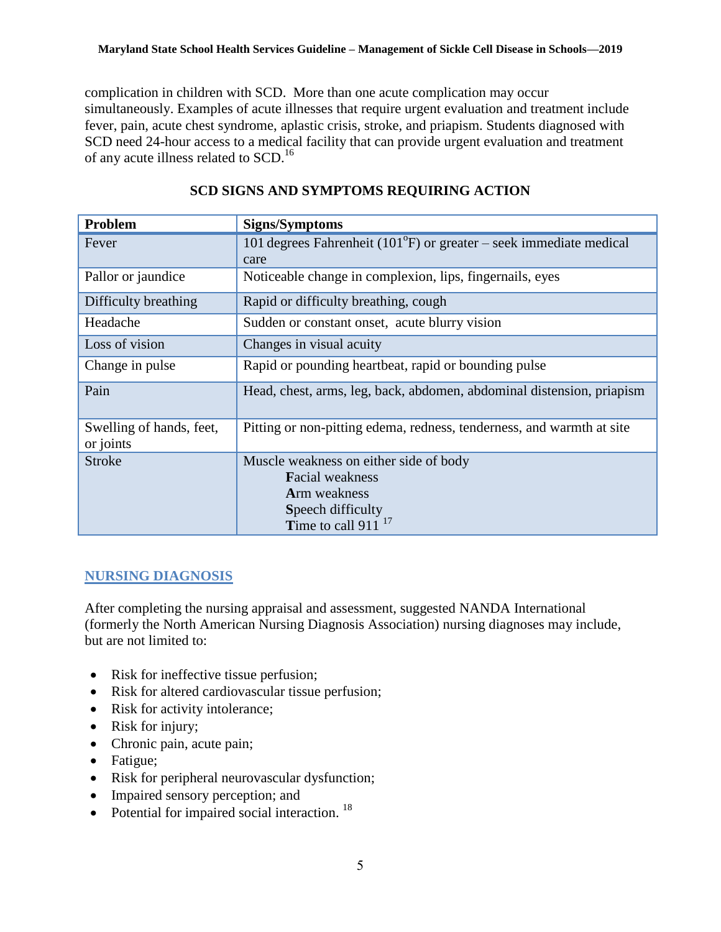complication in children with SCD. More than one acute complication may occur simultaneously. Examples of acute illnesses that require urgent evaluation and treatment include fever, pain, acute chest syndrome, aplastic crisis, stroke, and priapism. Students diagnosed with SCD need 24-hour access to a medical facility that can provide urgent evaluation and treatment of any acute illness related to SCD.<sup>16</sup>

| Problem                               | <b>Signs/Symptoms</b>                                                                                                             |
|---------------------------------------|-----------------------------------------------------------------------------------------------------------------------------------|
| Fever                                 | 101 degrees Fahrenheit ( $101^{\circ}$ F) or greater – seek immediate medical<br>care                                             |
| Pallor or jaundice                    | Noticeable change in complexion, lips, fingernails, eyes                                                                          |
| Difficulty breathing                  | Rapid or difficulty breathing, cough                                                                                              |
| Headache                              | Sudden or constant onset, acute blurry vision                                                                                     |
| Loss of vision                        | Changes in visual acuity                                                                                                          |
| Change in pulse                       | Rapid or pounding heartbeat, rapid or bounding pulse                                                                              |
| Pain                                  | Head, chest, arms, leg, back, abdomen, abdominal distension, priapism                                                             |
| Swelling of hands, feet,<br>or joints | Pitting or non-pitting edema, redness, tenderness, and warmth at site                                                             |
| <b>Stroke</b>                         | Muscle weakness on either side of body<br><b>Facial weakness</b><br>Arm weakness<br>Speech difficulty<br>Time to call 911 $^{17}$ |

#### **SCD SIGNS AND SYMPTOMS REQUIRING ACTION**

#### <span id="page-9-0"></span>**NURSING DIAGNOSIS**

After completing the nursing appraisal and assessment, suggested NANDA International (formerly the North American Nursing Diagnosis Association) nursing diagnoses may include, but are not limited to:

- Risk for ineffective tissue perfusion;
- Risk for altered cardiovascular tissue perfusion;
- Risk for activity intolerance;
- Risk for injury;
- Chronic pain, acute pain;
- Fatigue;
- Risk for peripheral neurovascular dysfunction;
- Impaired sensory perception; and
- $\bullet$  Potential for impaired social interaction.<sup>18</sup>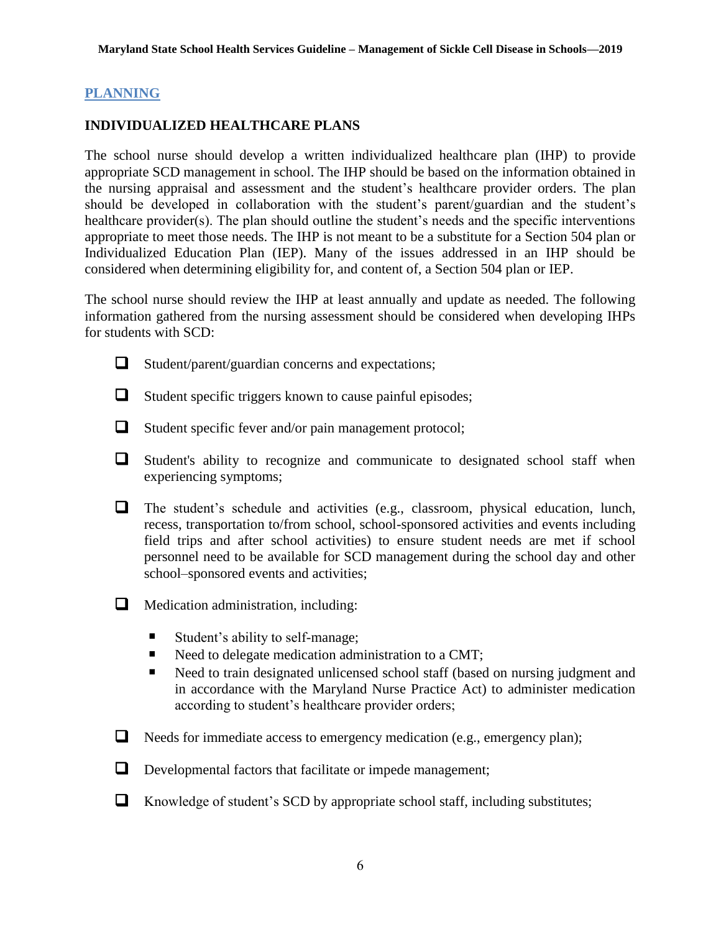#### <span id="page-10-0"></span>**PLANNING**

#### **INDIVIDUALIZED HEALTHCARE PLANS**

The school nurse should develop a written individualized healthcare plan (IHP) to provide appropriate SCD management in school. The IHP should be based on the information obtained in the nursing appraisal and assessment and the student's healthcare provider orders. The plan should be developed in collaboration with the student's parent/guardian and the student's healthcare provider(s). The plan should outline the student's needs and the specific interventions appropriate to meet those needs. The IHP is not meant to be a substitute for a Section 504 plan or Individualized Education Plan (IEP). Many of the issues addressed in an IHP should be considered when determining eligibility for, and content of, a Section 504 plan or IEP.

The school nurse should review the IHP at least annually and update as needed. The following information gathered from the nursing assessment should be considered when developing IHPs for students with SCD:



- $\Box$  Student/parent/guardian concerns and expectations;
- $\Box$  Student specific triggers known to cause painful episodes;
- 
- $\Box$  Student specific fever and/or pain management protocol;
- Student's ability to recognize and communicate to designated school staff when experiencing symptoms;
- The student's schedule and activities (e.g., classroom, physical education, lunch, recess, transportation to/from school, school-sponsored activities and events including field trips and after school activities) to ensure student needs are met if school personnel need to be available for SCD management during the school day and other school–sponsored events and activities;
- **Medication administration, including:** 
	- Student's ability to self-manage;
	- Need to delegate medication administration to a CMT;
	- Need to train designated unlicensed school staff (based on nursing judgment and in accordance with the Maryland Nurse Practice Act) to administer medication according to student's healthcare provider orders;
- $\Box$  Needs for immediate access to emergency medication (e.g., emergency plan);
- Developmental factors that facilitate or impede management;
- $\Box$  Knowledge of student's SCD by appropriate school staff, including substitutes;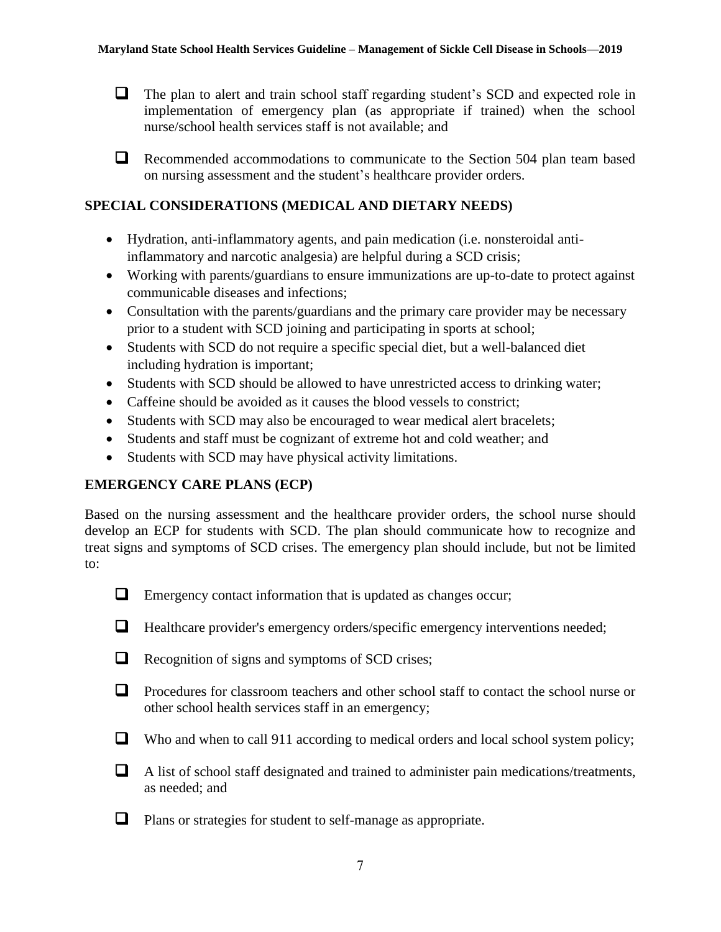$\Box$  The plan to alert and train school staff regarding student's SCD and expected role in implementation of emergency plan (as appropriate if trained) when the school nurse/school health services staff is not available; and

Recommended accommodations to communicate to the Section 504 plan team based on nursing assessment and the student's healthcare provider orders.

#### **SPECIAL CONSIDERATIONS (MEDICAL AND DIETARY NEEDS)**

- Hydration, anti-inflammatory agents, and pain medication (i.e. nonsteroidal antiinflammatory and narcotic analgesia) are helpful during a SCD crisis;
- Working with parents/guardians to ensure immunizations are up-to-date to protect against communicable diseases and infections;
- Consultation with the parents/guardians and the primary care provider may be necessary prior to a student with SCD joining and participating in sports at school;
- Students with SCD do not require a specific special diet, but a well-balanced diet including hydration is important;
- Students with SCD should be allowed to have unrestricted access to drinking water;
- Caffeine should be avoided as it causes the blood vessels to constrict;
- Students with SCD may also be encouraged to wear medical alert bracelets;
- Students and staff must be cognizant of extreme hot and cold weather; and
- Students with SCD may have physical activity limitations.

#### **EMERGENCY CARE PLANS (ECP)**

Based on the nursing assessment and the healthcare provider orders, the school nurse should develop an ECP for students with SCD. The plan should communicate how to recognize and treat signs and symptoms of SCD crises. The emergency plan should include, but not be limited to:



- $\Box$  Emergency contact information that is updated as changes occur;
- $\Box$  Healthcare provider's emergency orders/specific emergency interventions needed;
- $\Box$  Recognition of signs and symptoms of SCD crises;
- $\Box$  Procedures for classroom teachers and other school staff to contact the school nurse or other school health services staff in an emergency;
- $\Box$  Who and when to call 911 according to medical orders and local school system policy;
- A list of school staff designated and trained to administer pain medications/treatments, as needed; and
- **Q** Plans or strategies for student to self-manage as appropriate.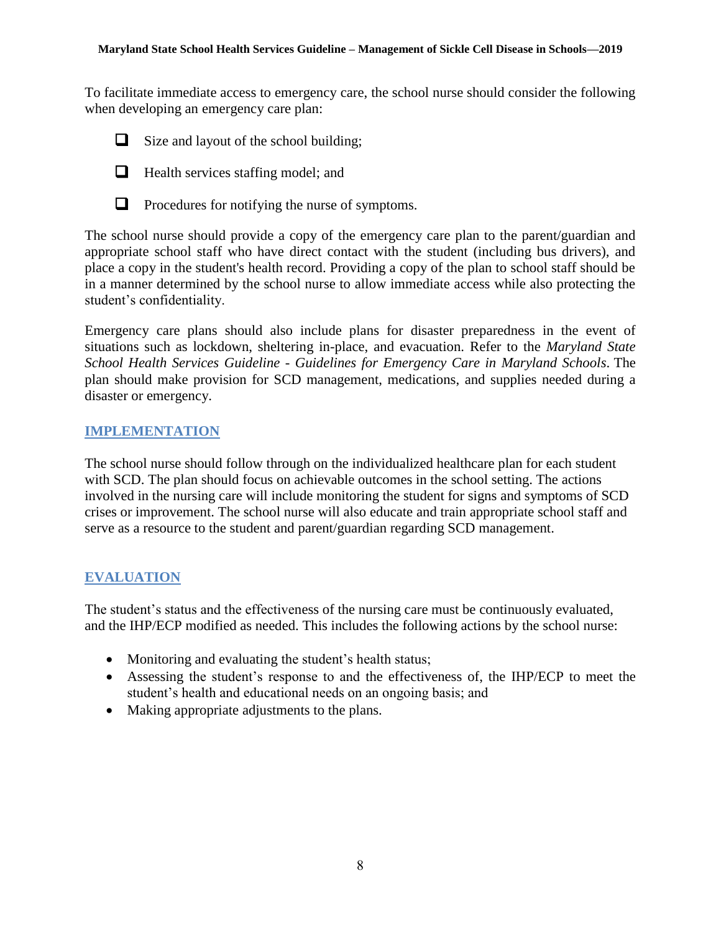To facilitate immediate access to emergency care, the school nurse should consider the following when developing an emergency care plan:



 $\Box$  Size and layout of the school building;



 $\Box$  Health services staffing model; and



 $\Box$  Procedures for notifying the nurse of symptoms.

The school nurse should provide a copy of the emergency care plan to the parent/guardian and appropriate school staff who have direct contact with the student (including bus drivers), and place a copy in the student's health record. Providing a copy of the plan to school staff should be in a manner determined by the school nurse to allow immediate access while also protecting the student's confidentiality.

Emergency care plans should also include plans for disaster preparedness in the event of situations such as lockdown, sheltering in-place, and evacuation. Refer to the *Maryland State School Health Services Guideline - Guidelines for Emergency Care in Maryland Schools*. The plan should make provision for SCD management, medications, and supplies needed during a disaster or emergency.

#### <span id="page-12-0"></span>**IMPLEMENTATION**

The school nurse should follow through on the individualized healthcare plan for each student with SCD. The plan should focus on achievable outcomes in the school setting. The actions involved in the nursing care will include monitoring the student for signs and symptoms of SCD crises or improvement. The school nurse will also educate and train appropriate school staff and serve as a resource to the student and parent/guardian regarding SCD management.

#### <span id="page-12-1"></span>**EVALUATION**

The student's status and the effectiveness of the nursing care must be continuously evaluated, and the IHP/ECP modified as needed. This includes the following actions by the school nurse:

- Monitoring and evaluating the student's health status;
- Assessing the student's response to and the effectiveness of, the IHP/ECP to meet the student's health and educational needs on an ongoing basis; and
- Making appropriate adjustments to the plans.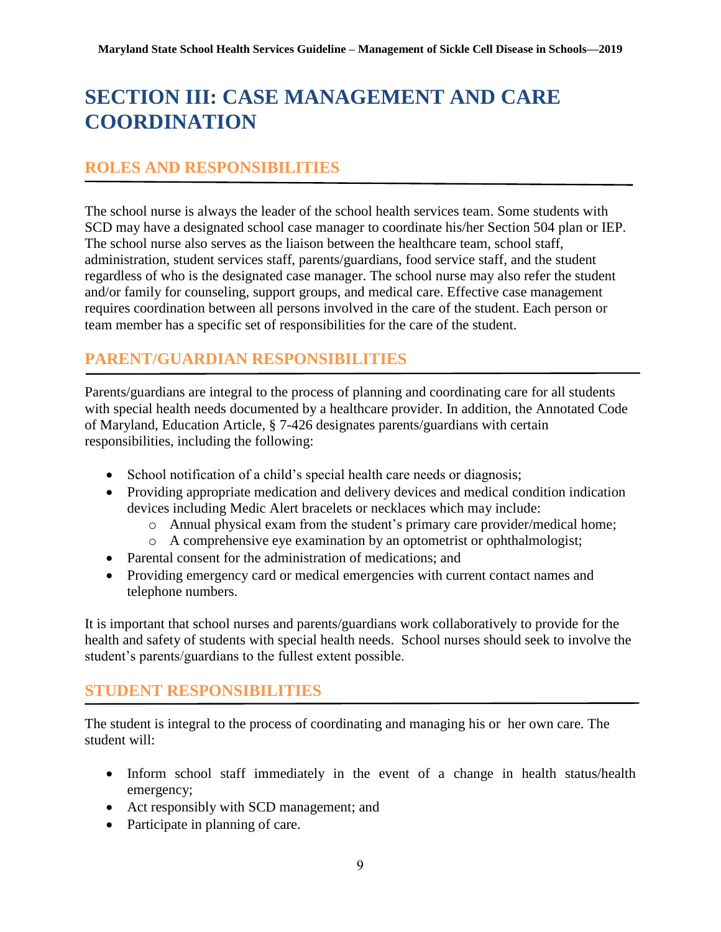# <span id="page-13-0"></span>**SECTION III: CASE MANAGEMENT AND CARE COORDINATION**

## <span id="page-13-1"></span>**ROLES AND RESPONSIBILITIES**

The school nurse is always the leader of the school health services team. Some students with SCD may have a designated school case manager to coordinate his/her Section 504 plan or IEP. The school nurse also serves as the liaison between the healthcare team, school staff, administration, student services staff, parents/guardians, food service staff, and the student regardless of who is the designated case manager. The school nurse may also refer the student and/or family for counseling, support groups, and medical care. Effective case management requires coordination between all persons involved in the care of the student. Each person or team member has a specific set of responsibilities for the care of the student.

## <span id="page-13-2"></span>**PARENT/GUARDIAN RESPONSIBILITIES**

Parents/guardians are integral to the process of planning and coordinating care for all students with special health needs documented by a healthcare provider. In addition, the Annotated Code of Maryland, Education Article, § 7-426 designates parents/guardians with certain responsibilities, including the following:

- School notification of a child's special health care needs or diagnosis;
- Providing appropriate medication and delivery devices and medical condition indication devices including Medic Alert bracelets or necklaces which may include:
	- o Annual physical exam from the student's primary care provider/medical home;
	- o A comprehensive eye examination by an optometrist or ophthalmologist;
- Parental consent for the administration of medications; and
- Providing emergency card or medical emergencies with current contact names and telephone numbers.

It is important that school nurses and parents/guardians work collaboratively to provide for the health and safety of students with special health needs. School nurses should seek to involve the student's parents/guardians to the fullest extent possible.

#### <span id="page-13-3"></span>**STUDENT RESPONSIBILITIES**

The student is integral to the process of coordinating and managing his or her own care. The student will:

- Inform school staff immediately in the event of a change in health status/health emergency;
- Act responsibly with SCD management; and
- Participate in planning of care.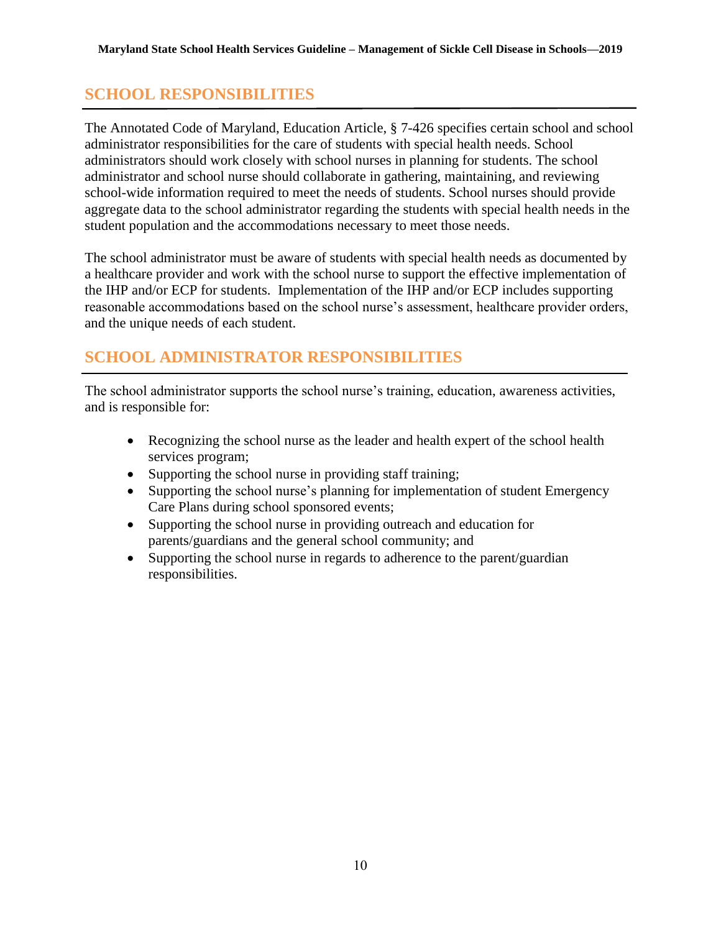# <span id="page-14-0"></span>**SCHOOL RESPONSIBILITIES**

The Annotated Code of Maryland, Education Article, § 7-426 specifies certain school and school administrator responsibilities for the care of students with special health needs. School administrators should work closely with school nurses in planning for students. The school administrator and school nurse should collaborate in gathering, maintaining, and reviewing school-wide information required to meet the needs of students. School nurses should provide aggregate data to the school administrator regarding the students with special health needs in the student population and the accommodations necessary to meet those needs.

The school administrator must be aware of students with special health needs as documented by a healthcare provider and work with the school nurse to support the effective implementation of the IHP and/or ECP for students. Implementation of the IHP and/or ECP includes supporting reasonable accommodations based on the school nurse's assessment, healthcare provider orders, and the unique needs of each student.

# <span id="page-14-1"></span>**SCHOOL ADMINISTRATOR RESPONSIBILITIES**

The school administrator supports the school nurse's training, education, awareness activities, and is responsible for:

- Recognizing the school nurse as the leader and health expert of the school health services program;
- Supporting the school nurse in providing staff training;
- Supporting the school nurse's planning for implementation of student Emergency Care Plans during school sponsored events;
- Supporting the school nurse in providing outreach and education for parents/guardians and the general school community; and
- Supporting the school nurse in regards to adherence to the parent/guardian responsibilities.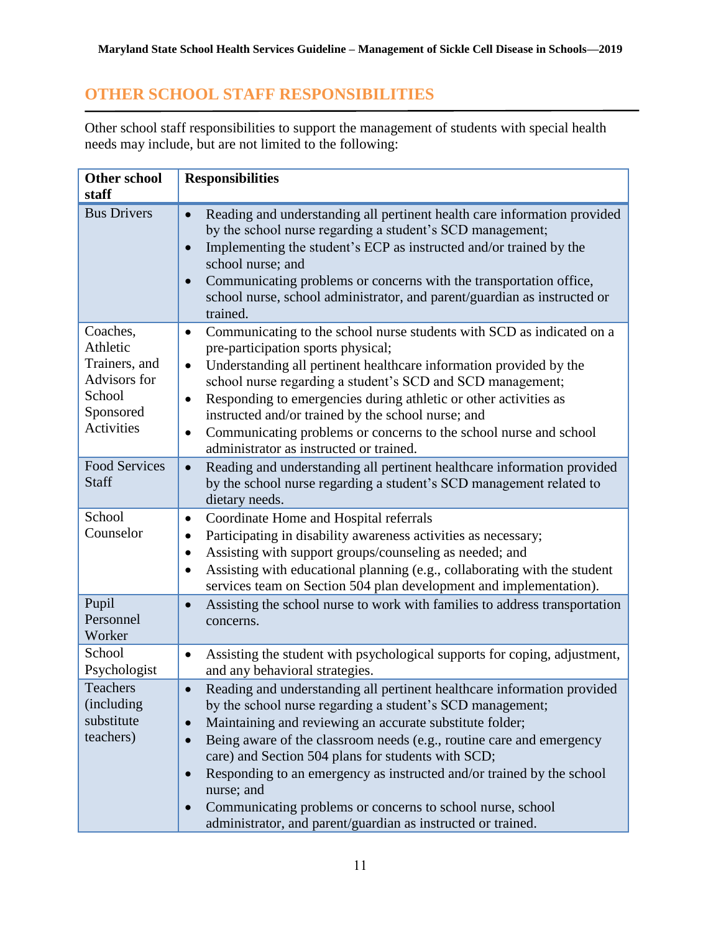# <span id="page-15-0"></span>**OTHER SCHOOL STAFF RESPONSIBILITIES**

Other school staff responsibilities to support the management of students with special health needs may include, but are not limited to the following:

| <b>Other school</b><br>staff                                                                      | <b>Responsibilities</b>                                                                                                                                                                                                                                                                                                                                                                                                                                                                                                                                                       |
|---------------------------------------------------------------------------------------------------|-------------------------------------------------------------------------------------------------------------------------------------------------------------------------------------------------------------------------------------------------------------------------------------------------------------------------------------------------------------------------------------------------------------------------------------------------------------------------------------------------------------------------------------------------------------------------------|
| <b>Bus Drivers</b>                                                                                | Reading and understanding all pertinent health care information provided<br>$\bullet$<br>by the school nurse regarding a student's SCD management;<br>Implementing the student's ECP as instructed and/or trained by the<br>school nurse; and<br>Communicating problems or concerns with the transportation office,<br>school nurse, school administrator, and parent/guardian as instructed or<br>trained.                                                                                                                                                                   |
| Coaches,<br>Athletic<br>Trainers, and<br>Advisors for<br>School<br>Sponsored<br><b>Activities</b> | Communicating to the school nurse students with SCD as indicated on a<br>$\bullet$<br>pre-participation sports physical;<br>Understanding all pertinent healthcare information provided by the<br>$\bullet$<br>school nurse regarding a student's SCD and SCD management;<br>Responding to emergencies during athletic or other activities as<br>$\bullet$<br>instructed and/or trained by the school nurse; and<br>Communicating problems or concerns to the school nurse and school<br>$\bullet$<br>administrator as instructed or trained.                                 |
| <b>Food Services</b><br><b>Staff</b>                                                              | Reading and understanding all pertinent healthcare information provided<br>$\bullet$<br>by the school nurse regarding a student's SCD management related to<br>dietary needs.                                                                                                                                                                                                                                                                                                                                                                                                 |
| School<br>Counselor                                                                               | Coordinate Home and Hospital referrals<br>$\bullet$<br>Participating in disability awareness activities as necessary;<br>Assisting with support groups/counseling as needed; and<br>$\bullet$<br>Assisting with educational planning (e.g., collaborating with the student<br>$\bullet$<br>services team on Section 504 plan development and implementation).                                                                                                                                                                                                                 |
| Pupil<br>Personnel<br>Worker                                                                      | Assisting the school nurse to work with families to address transportation<br>$\bullet$<br>concerns.                                                                                                                                                                                                                                                                                                                                                                                                                                                                          |
| School<br>Psychologist                                                                            | Assisting the student with psychological supports for coping, adjustment,<br>$\bullet$<br>and any behavioral strategies.                                                                                                                                                                                                                                                                                                                                                                                                                                                      |
| Teachers<br>(including)<br>substitute<br>teachers)                                                | Reading and understanding all pertinent healthcare information provided<br>$\bullet$<br>by the school nurse regarding a student's SCD management;<br>Maintaining and reviewing an accurate substitute folder;<br>Being aware of the classroom needs (e.g., routine care and emergency<br>care) and Section 504 plans for students with SCD;<br>Responding to an emergency as instructed and/or trained by the school<br>nurse; and<br>Communicating problems or concerns to school nurse, school<br>$\bullet$<br>administrator, and parent/guardian as instructed or trained. |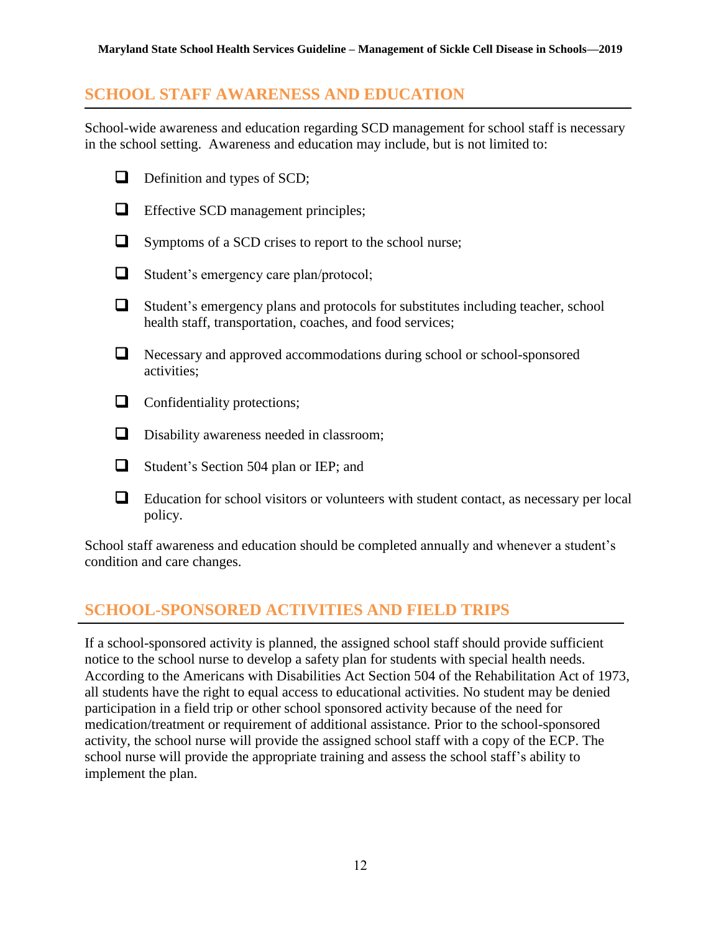## <span id="page-16-0"></span>**SCHOOL STAFF AWARENESS AND EDUCATION**

School-wide awareness and education regarding SCD management for school staff is necessary in the school setting. Awareness and education may include, but is not limited to:

- $\Box$  Definition and types of SCD;
- **Effective SCD management principles;**
- $\Box$  Symptoms of a SCD crises to report to the school nurse;
- Student's emergency care plan/protocol;
- Student's emergency plans and protocols for substitutes including teacher, school health staff, transportation, coaches, and food services;
- Necessary and approved accommodations during school or school-sponsored activities;
- $\Box$  Confidentiality protections;
- **D** Disability awareness needed in classroom;
- Student's Section 504 plan or IEP; and
- Education for school visitors or volunteers with student contact, as necessary per local policy.

School staff awareness and education should be completed annually and whenever a student's condition and care changes.

# <span id="page-16-1"></span>**SCHOOL-SPONSORED ACTIVITIES AND FIELD TRIPS**

If a school-sponsored activity is planned, the assigned school staff should provide sufficient notice to the school nurse to develop a safety plan for students with special health needs. According to the Americans with Disabilities Act Section 504 of the Rehabilitation Act of 1973, all students have the right to equal access to educational activities. No student may be denied participation in a field trip or other school sponsored activity because of the need for medication/treatment or requirement of additional assistance*.* Prior to the school-sponsored activity, the school nurse will provide the assigned school staff with a copy of the ECP. The school nurse will provide the appropriate training and assess the school staff's ability to implement the plan.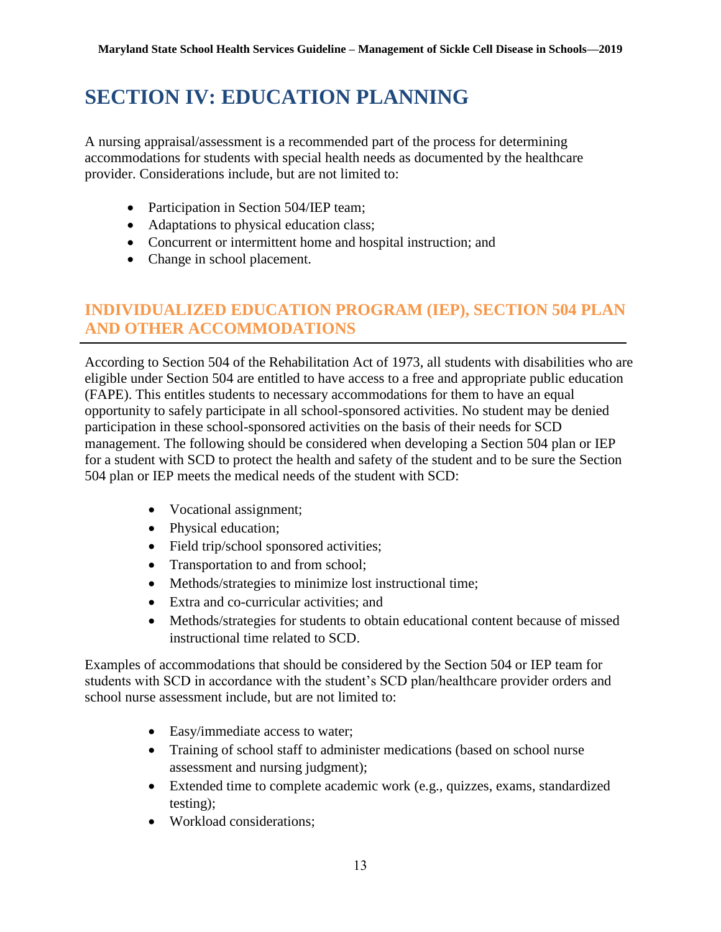# <span id="page-17-0"></span>**SECTION IV: EDUCATION PLANNING**

A nursing appraisal/assessment is a recommended part of the process for determining accommodations for students with special health needs as documented by the healthcare provider. Considerations include, but are not limited to:

- Participation in Section 504/IEP team;
- Adaptations to physical education class;
- Concurrent or intermittent home and hospital instruction; and
- Change in school placement.

# <span id="page-17-1"></span>**INDIVIDUALIZED EDUCATION PROGRAM (IEP), SECTION 504 PLAN AND OTHER ACCOMMODATIONS**

According to Section 504 of the Rehabilitation Act of 1973, all students with disabilities who are eligible under Section 504 are entitled to have access to a free and appropriate public education (FAPE). This entitles students to necessary accommodations for them to have an equal opportunity to safely participate in all school-sponsored activities. No student may be denied participation in these school-sponsored activities on the basis of their needs for SCD management. The following should be considered when developing a Section 504 plan or IEP for a student with SCD to protect the health and safety of the student and to be sure the Section 504 plan or IEP meets the medical needs of the student with SCD:

- Vocational assignment;
- Physical education;
- Field trip/school sponsored activities;
- Transportation to and from school;
- Methods/strategies to minimize lost instructional time;
- Extra and co-curricular activities; and
- Methods/strategies for students to obtain educational content because of missed instructional time related to SCD.

Examples of accommodations that should be considered by the Section 504 or IEP team for students with SCD in accordance with the student's SCD plan/healthcare provider orders and school nurse assessment include, but are not limited to:

- Easy/immediate access to water;
- Training of school staff to administer medications (based on school nurse assessment and nursing judgment);
- Extended time to complete academic work (e.g., quizzes, exams, standardized testing);
- Workload considerations;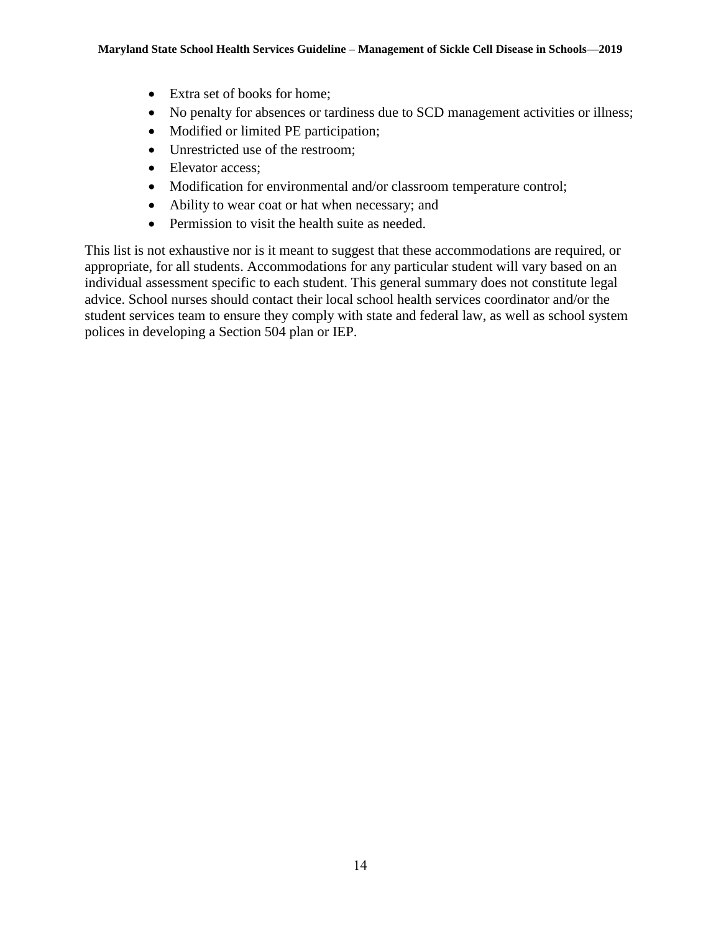- Extra set of books for home;
- No penalty for absences or tardiness due to SCD management activities or illness;
- Modified or limited PE participation;
- Unrestricted use of the restroom;
- Elevator access;
- Modification for environmental and/or classroom temperature control;
- Ability to wear coat or hat when necessary; and
- Permission to visit the health suite as needed.

This list is not exhaustive nor is it meant to suggest that these accommodations are required, or appropriate, for all students. Accommodations for any particular student will vary based on an individual assessment specific to each student. This general summary does not constitute legal advice. School nurses should contact their local school health services coordinator and/or the student services team to ensure they comply with state and federal law, as well as school system polices in developing a Section 504 plan or IEP.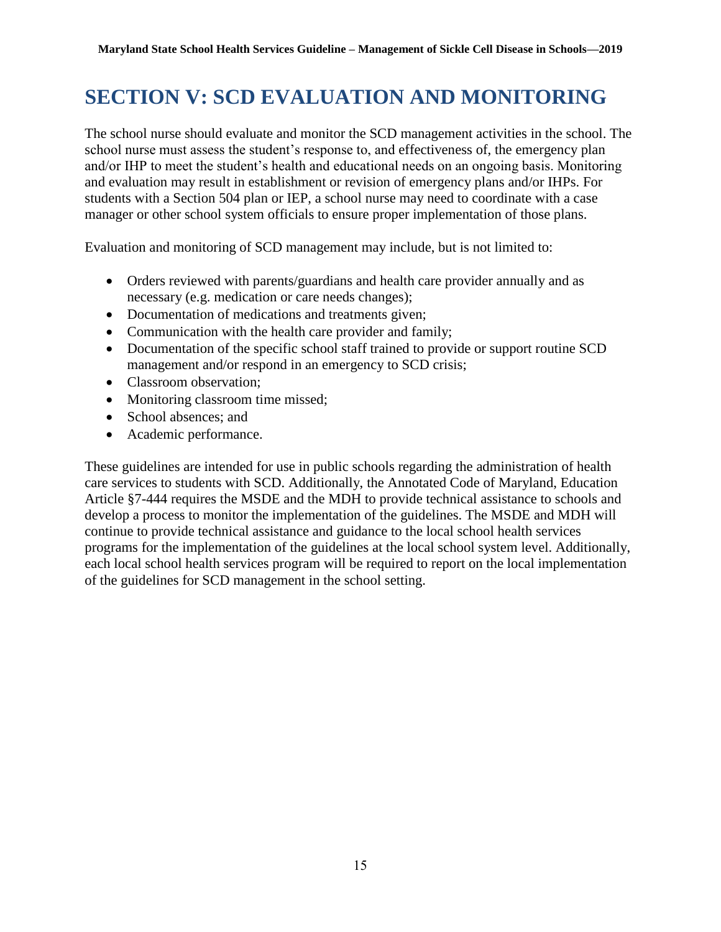# <span id="page-19-0"></span>**SECTION V: SCD EVALUATION AND MONITORING**

The school nurse should evaluate and monitor the SCD management activities in the school. The school nurse must assess the student's response to, and effectiveness of, the emergency plan and/or IHP to meet the student's health and educational needs on an ongoing basis. Monitoring and evaluation may result in establishment or revision of emergency plans and/or IHPs. For students with a Section 504 plan or IEP, a school nurse may need to coordinate with a case manager or other school system officials to ensure proper implementation of those plans.

Evaluation and monitoring of SCD management may include, but is not limited to:

- Orders reviewed with parents/guardians and health care provider annually and as necessary (e.g. medication or care needs changes);
- Documentation of medications and treatments given;
- Communication with the health care provider and family;
- Documentation of the specific school staff trained to provide or support routine SCD management and/or respond in an emergency to SCD crisis;
- Classroom observation;
- Monitoring classroom time missed;
- School absences; and
- Academic performance.

These guidelines are intended for use in public schools regarding the administration of health care services to students with SCD. Additionally, the Annotated Code of Maryland, Education Article §7-444 requires the MSDE and the MDH to provide technical assistance to schools and develop a process to monitor the implementation of the guidelines. The MSDE and MDH will continue to provide technical assistance and guidance to the local school health services programs for the implementation of the guidelines at the local school system level. Additionally, each local school health services program will be required to report on the local implementation of the guidelines for SCD management in the school setting.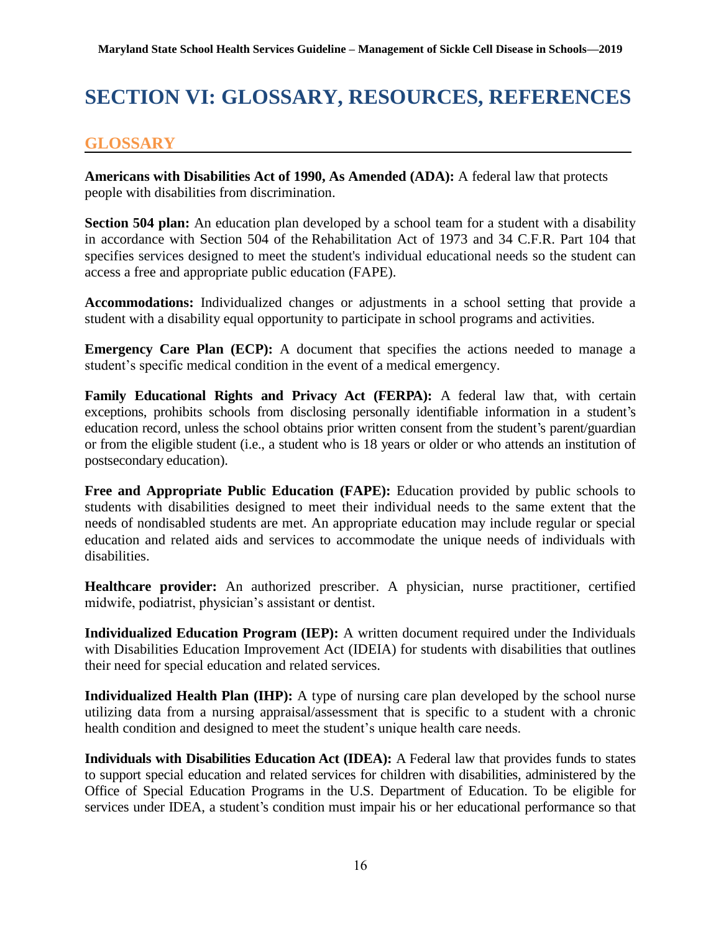# <span id="page-20-0"></span>**SECTION VI: GLOSSARY, RESOURCES, REFERENCES**

## <span id="page-20-1"></span>**GLOSSARY**

**Americans with Disabilities Act of 1990, As Amended (ADA):** A federal law that protects people with disabilities from discrimination.

**Section 504 plan:** An education plan developed by a school team for a student with a disability in accordance with Section 504 of the Rehabilitation Act of 1973 and 34 C.F.R. Part 104 that specifies services designed to meet the student's individual educational needs so the student can access a free and appropriate public education (FAPE).

**Accommodations:** Individualized changes or adjustments in a school setting that provide a student with a disability equal opportunity to participate in school programs and activities.

**Emergency Care Plan (ECP):** A document that specifies the actions needed to manage a student's specific medical condition in the event of a medical emergency.

**Family Educational Rights and Privacy Act (FERPA):** A federal law that, with certain exceptions, prohibits schools from disclosing personally identifiable information in a student's education record, unless the school obtains prior written consent from the student's parent/guardian or from the eligible student (i.e., a student who is 18 years or older or who attends an institution of postsecondary education).

**Free and Appropriate Public Education (FAPE):** Education provided by public schools to students with disabilities designed to meet their individual needs to the same extent that the needs of nondisabled students are met. An appropriate education may include regular or special education and related aids and services to accommodate the unique needs of individuals with disabilities.

**Healthcare provider:** An authorized prescriber. A physician, nurse practitioner, certified midwife, podiatrist, physician's assistant or dentist.

**Individualized Education Program (IEP):** A written document required under the Individuals with Disabilities Education Improvement Act (IDEIA) for students with disabilities that outlines their need for special education and related services.

**Individualized Health Plan (IHP):** A type of nursing care plan developed by the school nurse utilizing data from a nursing appraisal/assessment that is specific to a student with a chronic health condition and designed to meet the student's unique health care needs.

**Individuals with Disabilities Education Act (IDEA):** A Federal law that provides funds to states to support special education and related services for children with disabilities, administered by the Office of Special Education Programs in the U.S. Department of Education. To be eligible for services under IDEA, a student's condition must impair his or her educational performance so that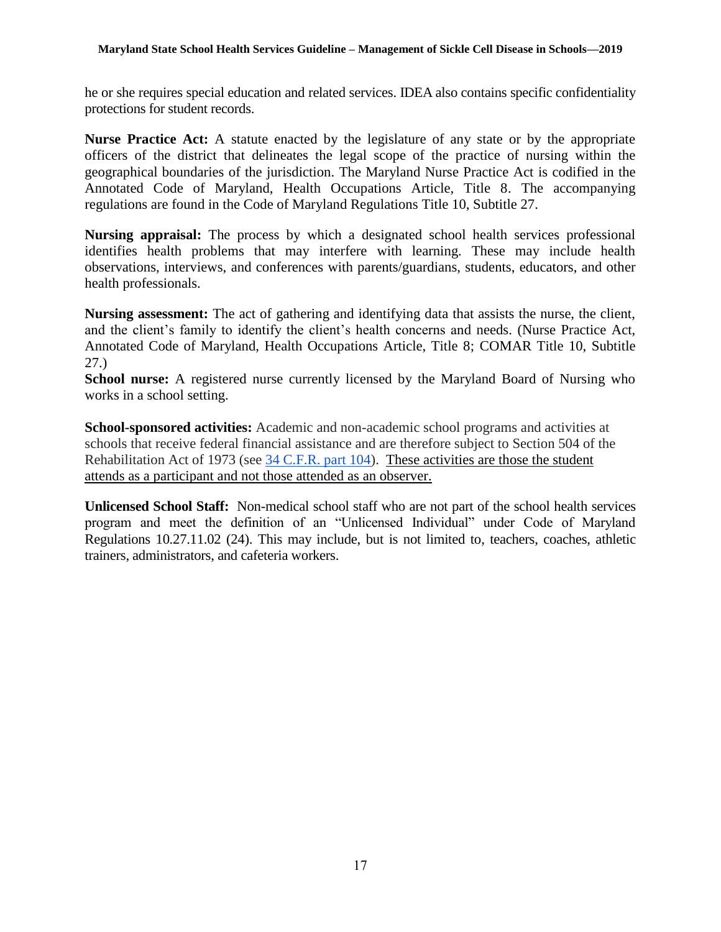#### **Maryland State School Health Services Guideline – Management of Sickle Cell Disease in Schools—2019**

he or she requires special education and related services. IDEA also contains specific confidentiality protections for student records.

**Nurse Practice Act:** A statute enacted by the legislature of any state or by the appropriate officers of the district that delineates the legal scope of the practice of nursing within the geographical boundaries of the jurisdiction. The Maryland Nurse Practice Act is codified in the Annotated Code of Maryland, Health Occupations Article, Title 8. The accompanying regulations are found in the Code of Maryland Regulations Title 10, Subtitle 27.

**Nursing appraisal:** The process by which a designated school health services professional identifies health problems that may interfere with learning. These may include health observations, interviews, and conferences with parents/guardians, students, educators, and other health professionals.

**Nursing assessment:** The act of gathering and identifying data that assists the nurse, the client, and the client's family to identify the client's health concerns and needs. (Nurse Practice Act, Annotated Code of Maryland, Health Occupations Article, Title 8; COMAR Title 10, Subtitle 27.)

**School nurse:** A registered nurse currently licensed by the Maryland Board of Nursing who works in a school setting.

**School-sponsored activities:** Academic and non-academic school programs and activities at schools that receive federal financial assistance and are therefore subject to Section 504 of the Rehabilitation Act of 1973 (see [34 C.F.R. part 104\)](https://www2.ed.gov/policy/rights/reg/ocr/edlite-34cfr104.html). These activities are those the student attends as a participant and not those attended as an observer.

**Unlicensed School Staff:** Non-medical school staff who are not part of the school health services program and meet the definition of an "Unlicensed Individual" under Code of Maryland Regulations 10.27.11.02 (24). This may include, but is not limited to, teachers, coaches, athletic trainers, administrators, and cafeteria workers.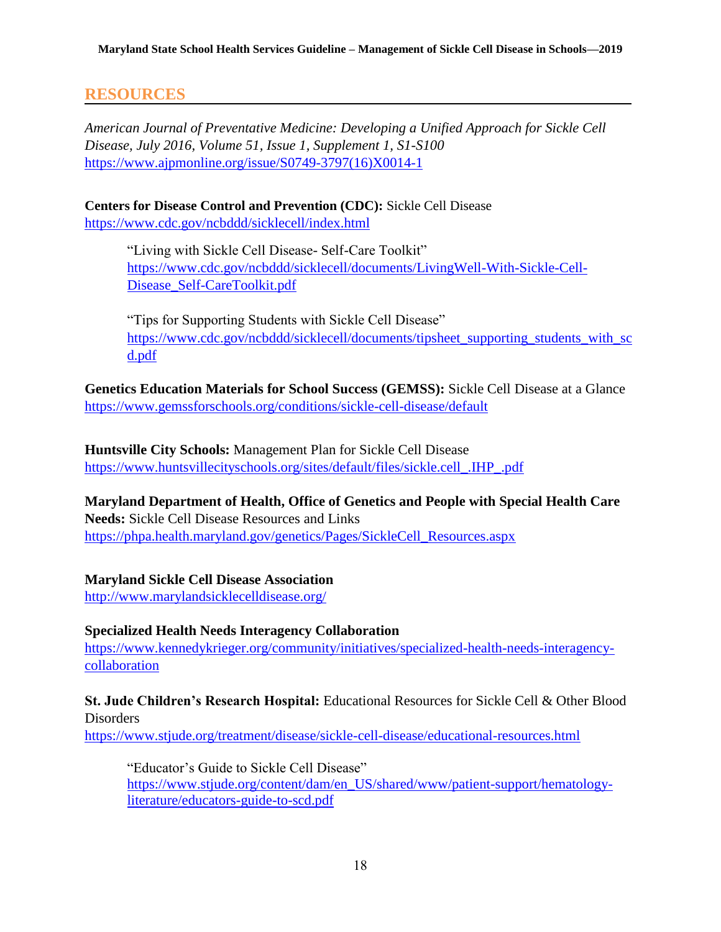#### <span id="page-22-0"></span>**RESOURCES**

*American Journal of Preventative Medicine: Developing a Unified Approach for Sickle Cell Disease, July 2016, Volume 51, Issue 1, Supplement 1, S1-S100*  [https://www.ajpmonline.org/issue/S0749-3797\(16\)X0014-1](https://www.ajpmonline.org/issue/S0749-3797(16)X0014-1)

**Centers for Disease Control and Prevention (CDC):** Sickle Cell Disease <https://www.cdc.gov/ncbddd/sicklecell/index.html>

> "Living with Sickle Cell Disease- Self-Care Toolkit" [https://www.cdc.gov/ncbddd/sicklecell/documents/LivingWell-With-Sickle-Cell-](https://www.cdc.gov/ncbddd/sicklecell/documents/LivingWell-With-Sickle-Cell-Disease_Self-CareToolkit.pdf)[Disease\\_Self-CareToolkit.pdf](https://www.cdc.gov/ncbddd/sicklecell/documents/LivingWell-With-Sickle-Cell-Disease_Self-CareToolkit.pdf)

"Tips for Supporting Students with Sickle Cell Disease" [https://www.cdc.gov/ncbddd/sicklecell/documents/tipsheet\\_supporting\\_students\\_with\\_sc](https://www.cdc.gov/ncbddd/sicklecell/documents/tipsheet_supporting_students_with_scd.pdf) [d.pdf](https://www.cdc.gov/ncbddd/sicklecell/documents/tipsheet_supporting_students_with_scd.pdf)

**Genetics Education Materials for School Success (GEMSS):** Sickle Cell Disease at a Glance <https://www.gemssforschools.org/conditions/sickle-cell-disease/default>

**Huntsville City Schools:** Management Plan for Sickle Cell Disease [https://www.huntsvillecityschools.org/sites/default/files/sickle.cell\\_.IHP\\_.pdf](https://www.huntsvillecityschools.org/sites/default/files/sickle.cell_.IHP_.pdf)

**Maryland Department of Health, Office of Genetics and People with Special Health Care Needs:** Sickle Cell Disease Resources and Links [https://phpa.health.maryland.gov/genetics/Pages/SickleCell\\_Resources.aspx](https://phpa.health.maryland.gov/genetics/Pages/SickleCell_Resources.aspx)

**Maryland Sickle Cell Disease Association** <http://www.marylandsicklecelldisease.org/>

#### **Specialized Health Needs Interagency Collaboration**

[https://www.kennedykrieger.org/community/initiatives/specialized-health-needs-interagency](https://www.kennedykrieger.org/community/initiatives/specialized-health-needs-interagency-collaboration)[collaboration](https://www.kennedykrieger.org/community/initiatives/specialized-health-needs-interagency-collaboration)

#### **St. Jude Children's Research Hospital:** Educational Resources for Sickle Cell & Other Blood Disorders

<https://www.stjude.org/treatment/disease/sickle-cell-disease/educational-resources.html>

"Educator's Guide to Sickle Cell Disease" [https://www.stjude.org/content/dam/en\\_US/shared/www/patient-support/hematology](https://www.stjude.org/content/dam/en_US/shared/www/patient-support/hematology-literature/educators-guide-to-scd.pdf)[literature/educators-guide-to-scd.pdf](https://www.stjude.org/content/dam/en_US/shared/www/patient-support/hematology-literature/educators-guide-to-scd.pdf)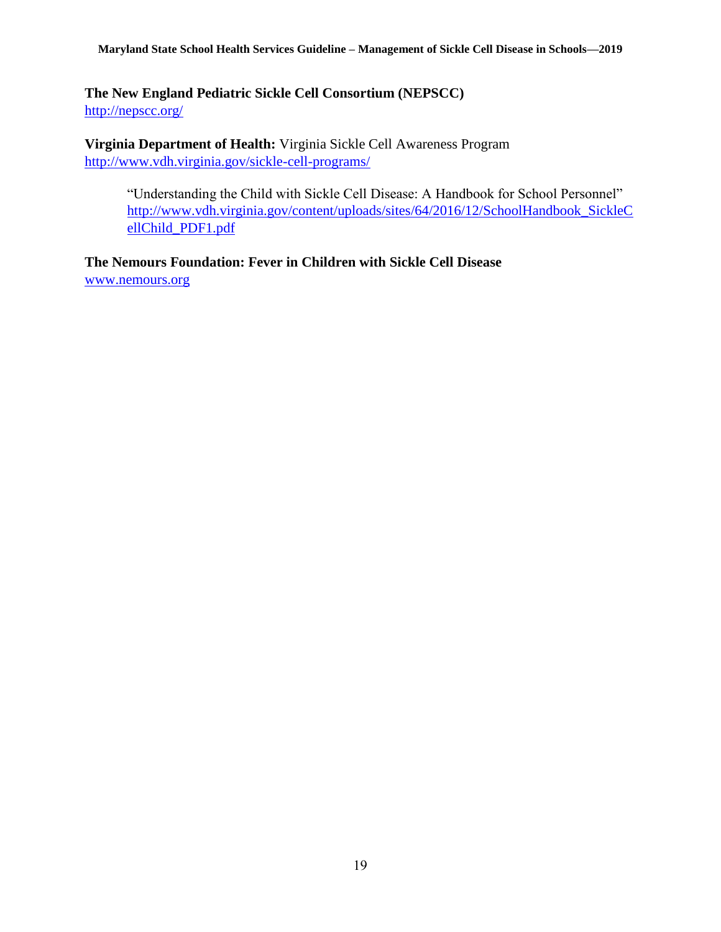#### **Maryland State School Health Services Guideline – Management of Sickle Cell Disease in Schools—2019**

**The New England Pediatric Sickle Cell Consortium (NEPSCC)** <http://nepscc.org/>

**Virginia Department of Health:** Virginia Sickle Cell Awareness Program <http://www.vdh.virginia.gov/sickle-cell-programs/>

"Understanding the Child with Sickle Cell Disease: A Handbook for School Personnel" [http://www.vdh.virginia.gov/content/uploads/sites/64/2016/12/SchoolHandbook\\_SickleC](http://www.vdh.virginia.gov/content/uploads/sites/64/2016/12/SchoolHandbook_SickleCellChild_PDF1.pdf) [ellChild\\_PDF1.pdf](http://www.vdh.virginia.gov/content/uploads/sites/64/2016/12/SchoolHandbook_SickleCellChild_PDF1.pdf)

**The Nemours Foundation: Fever in Children with Sickle Cell Disease** [www.nemours.org](http://www.nemours.org/)